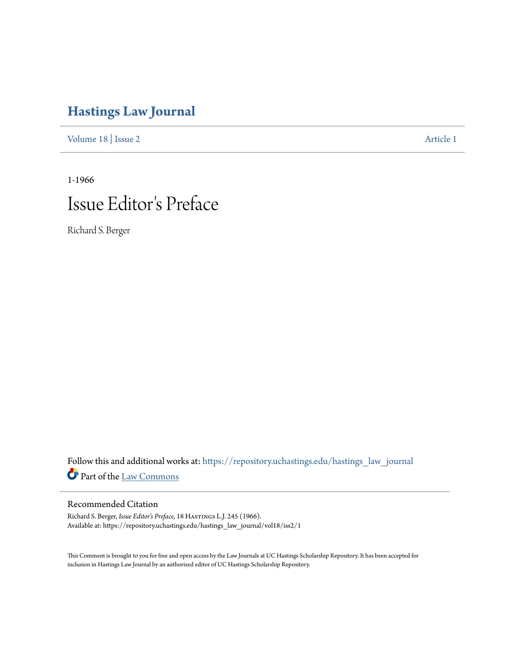## **[Hastings Law Journal](https://repository.uchastings.edu/hastings_law_journal?utm_source=repository.uchastings.edu%2Fhastings_law_journal%2Fvol18%2Fiss2%2F1&utm_medium=PDF&utm_campaign=PDFCoverPages)**

[Volume 18](https://repository.uchastings.edu/hastings_law_journal/vol18?utm_source=repository.uchastings.edu%2Fhastings_law_journal%2Fvol18%2Fiss2%2F1&utm_medium=PDF&utm_campaign=PDFCoverPages) | [Issue 2](https://repository.uchastings.edu/hastings_law_journal/vol18/iss2?utm_source=repository.uchastings.edu%2Fhastings_law_journal%2Fvol18%2Fiss2%2F1&utm_medium=PDF&utm_campaign=PDFCoverPages) [Article 1](https://repository.uchastings.edu/hastings_law_journal/vol18/iss2/1?utm_source=repository.uchastings.edu%2Fhastings_law_journal%2Fvol18%2Fiss2%2F1&utm_medium=PDF&utm_campaign=PDFCoverPages)

1-1966

## Issue Editor 's Preface

Richard S. Berger

Follow this and additional works at: [https://repository.uchastings.edu/hastings\\_law\\_journal](https://repository.uchastings.edu/hastings_law_journal?utm_source=repository.uchastings.edu%2Fhastings_law_journal%2Fvol18%2Fiss2%2F1&utm_medium=PDF&utm_campaign=PDFCoverPages) Part of the [Law Commons](http://network.bepress.com/hgg/discipline/578?utm_source=repository.uchastings.edu%2Fhastings_law_journal%2Fvol18%2Fiss2%2F1&utm_medium=PDF&utm_campaign=PDFCoverPages)

## Recommended Citation

Richard S. Berger, *Issue Editor's Preface*, 18 HASTINGS L.J. 245 (1966). Available at: https://repository.uchastings.edu/hastings\_law\_journal/vol18/iss2/1

This Comment is brought to you for free and open access by the Law Journals at UC Hastings Scholarship Repository. It has been accepted for inclusion in Hastings Law Journal by an authorized editor of UC Hastings Scholarship Repository.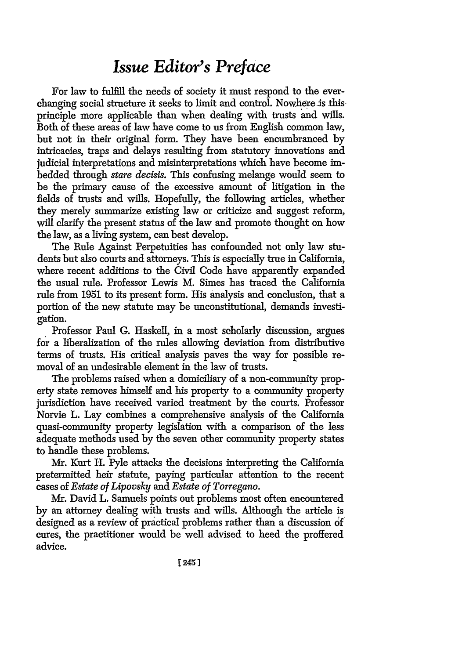## *Issue Editor's Preface*

For law to fulfill the needs of society it must respond to the everchanging social structure it seeks to limit and control. Nowhere is thisprinciple more applicable than when dealing with trusts and wills. Both of these areas of law have come to us from English common law, but not in their original form. They have been encumbranced by intricacies, traps and delays resulting from statutory innovations and judicial interpretations and misinterpretations which have become imbedded through *stare decisis.* This confusing melange would seem to be the primary cause of the excessive amount of litigation in the fields of trusts and wills. Hopefully, the following articles, whether they merely summarize existing law or criticize and suggest reform, will clarify the present status of the law and promote thought on how the law, as a living system, can best develop.

The Rule Against Perpetuities has confounded not only law students but also courts and attorneys. This is especially true in California, where recent additions to the Civil Code have apparently expanded the usual rule. Professor Lewis M. Simes has traced the California rule from 1951 to its present form. His analysis and conclusion, that a portion of the new statute may be unconstitutional, demands investigation.

Professor Paul G. Haskell, in a most scholarly discussion, argues for a liberalization of the rules allowing deviation from distributive terms of trusts. His critical analysis paves the way for possible removal of an undesirable element in the law of trusts.

The problems raised when a domiciliary of a non-community property state removes himself and his property to a community property jurisdiction have received varied treatment by the courts. Professor Norvie L. Lay combines a comprehensive analysis of the California quasi-community property legislation with a comparison of the less adequate methods used by the seven other community property states to handle these problems.

Mr. Kurt H. Pyle attacks the decisions interpreting the California pretermitted heir statute, paying particular attention to the recent cases of *Estate of Lipovsky and Estate of Torregano.*

Mr. David L. Samuels points out problems most often encountered by an attorney dealing with trusts and wills. Although the article is designed as a review of practical problems rather than a discussion df cures, the practitioner would be well advised to heed the proffered advice.